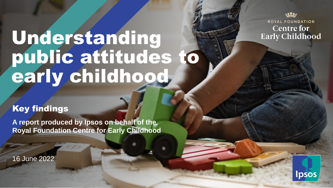ROYAL FOUNDATION **Centre for Early Childhood** 

# Understanding public attitudes to early childhood

#### Key findings

**A report produced by Ipsos on behalf of the Royal Foundation Centre for Early Childhood**

16 June 2022

© Ipsos | Understanding attitudes to early childhood | June 2022 | PUBLIC

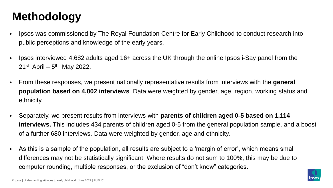### **Methodology**

- Ipsos was commissioned by The Royal Foundation Centre for Early Childhood to conduct research into public perceptions and knowledge of the early years.
- ⦁ Ipsos interviewed 4,682 adults aged 16+ across the UK through the online Ipsos i-Say panel from the 21<sup>st</sup> April – 5<sup>th</sup> May 2022.
- ⦁ From these responses, we present nationally representative results from interviews with the **general population based on 4,002 interviews**. Data were weighted by gender, age, region, working status and ethnicity.
- ⦁ Separately, we present results from interviews with **parents of children aged 0-5 based on 1,114 interviews.** This includes 434 parents of children aged 0-5 from the general population sample, and a boost of a further 680 interviews. Data were weighted by gender, age and ethnicity.
- ⦁ As this is a sample of the population, all results are subject to a 'margin of error', which means small differences may not be statistically significant. Where results do not sum to 100%, this may be due to computer rounding, multiple responses, or the exclusion of "don't know" categories.

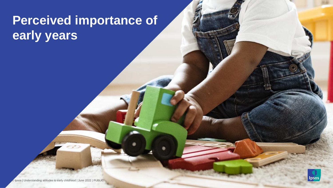# **Perceived importance of early years**

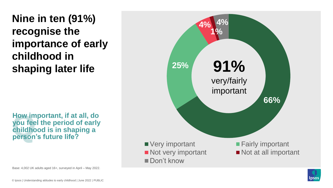**Nine in ten (91%) recognise the importance of early childhood in shaping later life**

**How im**<br>you fee<br>childho<br>person **How important, if at all, do you feel the period of early childhood is in shaping a person's future life?**





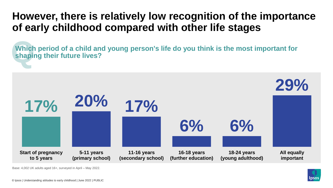### **However, there is relatively low recognition of the importance of early childhood compared with other life stages**

**Which**<br>shapii **Which period of a child and young person's life do you think is the most important for shaping their future lives?**

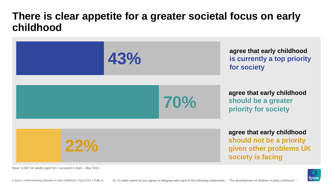#### **There is clear appetite for a greater societal focus on early childhood**



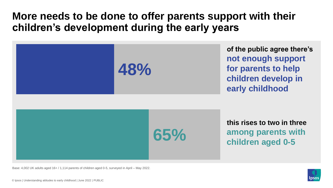#### **More needs to be done to offer parents support with their children's development during the early years**



Base: 4,002 UK adults aged 16+ / 1,114 parents of children aged 0-5, surveyed in April – May 2022.

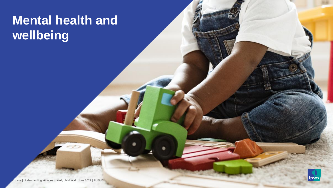# **Mental health and wellbeing**

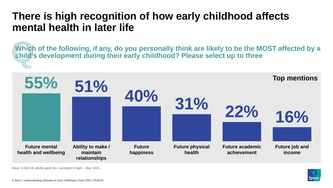### **There is high recognition of how early childhood affects mental health in later life**

Which of the following, if any, do you personally think are likely to be the MOST affected by a **child's development during their early childhood? Please select up to three**



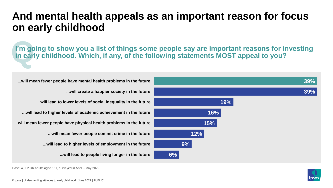#### **And mental health appeals as an important reason for focus on early childhood**

**P**<br>in earl **I'm going to show you a list of things some people say are important reasons for investing in early childhood. Which, if any, of the following statements MOST appeal to you?** 



**...will mean fewer people have mental health problems in the future**

**...will create a happier society in the future**

**...will lead to lower levels of social inequality in the future**

**...will lead to higher levels of academic achievement in the future**

**...will mean fewer people have physical health problems in the future**

**...will mean fewer people commit crime in the future**

**...will lead to higher levels of employment in the future**

**...will lead to people living longer in the future**

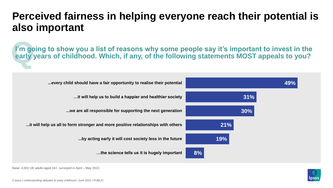### **Perceived fairness in helping everyone reach their potential is also important**

**P**<sup>m</sup> go<br>early **I'm going to show you a list of reasons why some people say it's important to invest in the early years of childhood. Which, if any, of the following statements MOST appeals to you?** 



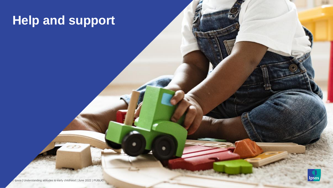# **Help and support**

© Ipsos | Understanding attitudes to early childhood | June 2022 | PUBLIC

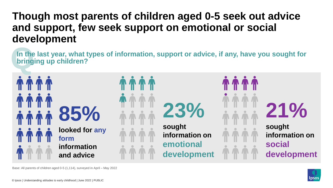### **Though most parents of children aged 0-5 seek out advice and support, few seek support on emotional or social development**

**In the**<br>bring **In the last year, what types of information, support or advice, if any, have you sought for bringing up children?**



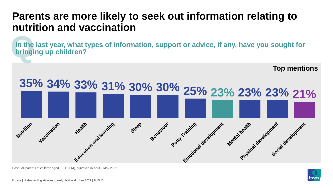### **Parents are more likely to seek out information relating to nutrition and vaccination**

**In the**<br>**bringi In the last year, what types of information, support or advice, if any, have you sought for bringing up children?**



Base: All parents of children aged 0-5 (1,114), surveyed in April – May 2022

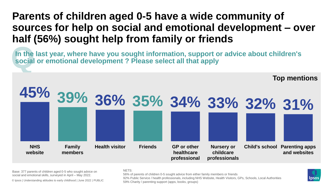### **Parents of children aged 0-5 have a wide community of sources for help on social and emotional development – over half (56%) sought help from family or friends**

In the<br>social **In the last year, where have you sought information, support or advice about children's social or emotional development ? Please select all that apply**



Base: 377 parents of children aged 0-5 who sought advice on social and emotional skills, surveyed in April – May 2022.

© Ipsos | Understanding attitudes to early childhood | June 2022 | PUBLIC

#### NETS:

56% of parents of children 0-5 sought advice from either family members or friends 92% Public Service / health professionals, including NHS Website, Health Visitors, GPs, Schools, Local Authorities 59% Charity / parenting support (apps, books, groups)

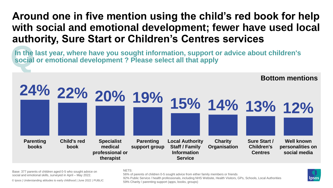#### **Around one in five mention using the child's red book for help with social and emotional development; fewer have used local authority, Sure Start or Children's Centres services**

In the<br>social **In the last year, where have you sought information, support or advice about children's social or emotional development ? Please select all that apply**



Base: 377 parents of children aged 0-5 who sought advice on social and emotional skills, surveyed in April – May 2022.

© Ipsos | Understanding attitudes to early childhood | June 2022 | PUBLIC

NETS:

56% of parents of children 0-5 sought advice from either family members or friends 92% Public Service / health professionals, including NHS Website, Health Visitors, GPs, Schools, Local Authorities 59% Charity / parenting support (apps, books, groups)